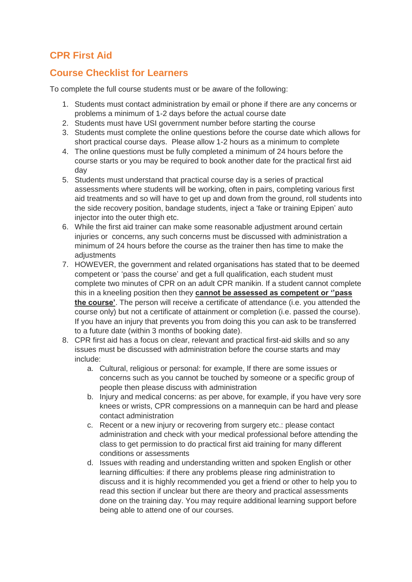## **CPR First Aid**

## **Course Checklist for Learners**

To complete the full course students must or be aware of the following:

- 1. Students must contact administration by email or phone if there are any concerns or problems a minimum of 1-2 days before the actual course date
- 2. Students must have USI government number before starting the course
- 3. Students must complete the online questions before the course date which allows for short practical course days. Please allow 1-2 hours as a minimum to complete
- 4. The online questions must be fully completed a minimum of 24 hours before the course starts or you may be required to book another date for the practical first aid day
- 5. Students must understand that practical course day is a series of practical assessments where students will be working, often in pairs, completing various first aid treatments and so will have to get up and down from the ground, roll students into the side recovery position, bandage students, inject a 'fake or training Epipen' auto injector into the outer thigh etc.
- 6. While the first aid trainer can make some reasonable adjustment around certain injuries or concerns, any such concerns must be discussed with administration a minimum of 24 hours before the course as the trainer then has time to make the adiustments
- 7. HOWEVER, the government and related organisations has stated that to be deemed competent or 'pass the course' and get a full qualification, each student must complete two minutes of CPR on an adult CPR manikin. If a student cannot complete this in a kneeling position then they **cannot be assessed as competent or ''pass the course'**. The person will receive a certificate of attendance (i.e. you attended the course only) but not a certificate of attainment or completion (i.e. passed the course). If you have an injury that prevents you from doing this you can ask to be transferred to a future date (within 3 months of booking date).
- 8. CPR first aid has a focus on clear, relevant and practical first-aid skills and so any issues must be discussed with administration before the course starts and may include:
	- a. Cultural, religious or personal: for example, If there are some issues or concerns such as you cannot be touched by someone or a specific group of people then please discuss with administration
	- b. Injury and medical concerns: as per above, for example, if you have very sore knees or wrists, CPR compressions on a mannequin can be hard and please contact administration
	- c. Recent or a new injury or recovering from surgery etc.: please contact administration and check with your medical professional before attending the class to get permission to do practical first aid training for many different conditions or assessments
	- d. Issues with reading and understanding written and spoken English or other learning difficulties: if there any problems please ring administration to discuss and it is highly recommended you get a friend or other to help you to read this section if unclear but there are theory and practical assessments done on the training day. You may require additional learning support before being able to attend one of our courses.